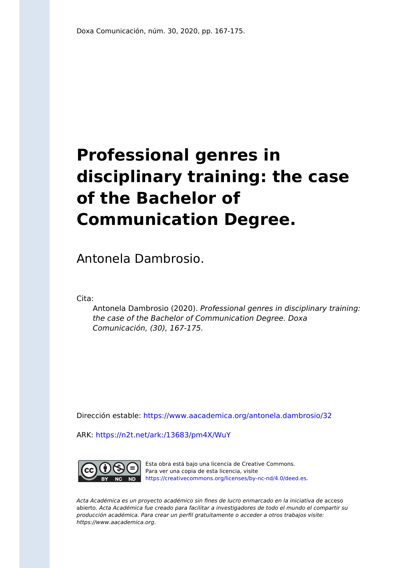# **Professional genres in disciplinary training: the case of the Bachelor of Communication Degree.**

Antonela Dambrosio.

Cita:

Antonela Dambrosio (2020). Professional genres in disciplinary training: the case of the Bachelor of Communication Degree. Doxa Comunicación, (30), 167-175.

Dirección estable:<https://www.aacademica.org/antonela.dambrosio/32>

ARK: <https://n2t.net/ark:/13683/pm4X/WuY>



Esta obra está bajo una licencia de Creative Commons. Para ver una copia de esta licencia, visite [https://creativecommons.org/licenses/by-nc-nd/4.0/deed.es.](https://creativecommons.org/licenses/by-nc-nd/4.0/deed.es)

Acta Académica es un proyecto académico sin fines de lucro enmarcado en la iniciativa de acceso abierto. Acta Académica fue creado para facilitar a investigadores de todo el mundo el compartir su producción académica. Para crear un perfil gratuitamente o acceder a otros trabajos visite: https://www.aacademica.org.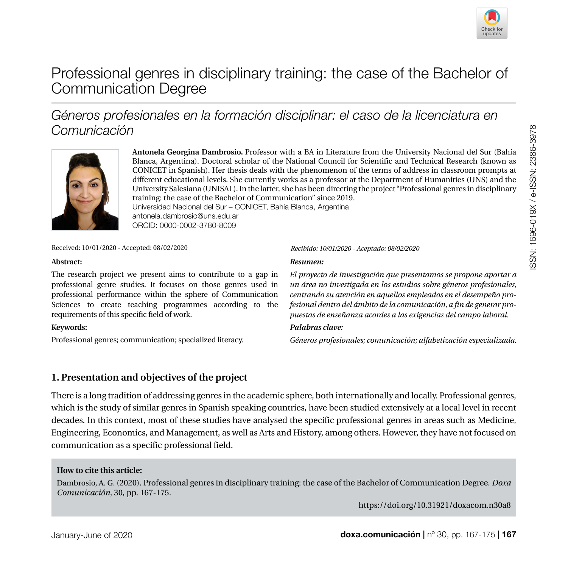

# Professional genres in disciplinary training: the case of the Bachelor of Communication Degree

# *Géneros profesionales en la formación disciplinar: el caso de la licenciatura en Comunicación*



**Antonela Georgina Dambrosio.** Professor with a BA in Literature from the University Nacional del Sur (Bahía Blanca, Argentina). Doctoral scholar of the National Council for Scientific and Technical Research (known as CONICET in Spanish). Her thesis deals with the phenomenon of the terms of address in classroom prompts at different educational levels. She currently works as a professor at the Department of Humanities (UNS) and the University Salesiana (UNISAL). In the latter, she has been directing the project "Professional genres in disciplinary training: the case of the Bachelor of Communication" since 2019. [Universidad Nacional del Sur – CONICET, Bahía Blanca, Argentina](https://www.uns.edu.ar/) [antonela.dambrosio@uns.edu.ar](mailto:antonela.dambrosio%40uns.edu.ar?subject=) ORCID: [0000-0002-3780-8009](https://orcid.org/0000-0002-3780-8009)

Received: 10/01/2020 - Accepted: 08/02/2020 *Recibido: 10/01/2020 - Aceptado: 08/02/2020*

#### **Abstract:**

The research project we present aims to contribute to a gap in professional genre studies. It focuses on those genres used in professional performance within the sphere of Communication Sciences to create teaching programmes according to the requirements of this specific field of work.

#### **Keywords:**

Professional genres; communication; specialized literacy.

#### *Resumen:*

*El proyecto de investigación que presentamos se propone aportar a un área no investigada en los estudios sobre géneros profesionales, centrando su atención en aquellos empleados en el desempeño profesional dentro del ámbito de la comunicación, a fin de generar propuestas de enseñanza acordes a las exigencias del campo laboral.* 

#### *Palabras clave:*

*Géneros profesionales; comunicación; alfabetización especializada.*

### **1. Presentation and objectives of the project**

There is a long tradition of addressing genres in the academic sphere, both internationally and locally. Professional genres, which is the study of similar genres in Spanish speaking countries, have been studied extensively at a local level in recent decades. In this context, most of these studies have analysed the specific professional genres in areas such as Medicine, Engineering, Economics, and Management, as well as Arts and History, among others. However, they have not focused on communication as a specific professional field.

#### **How to cite this article:**

Dambrosio, A. G. (2020). Professional genres in disciplinary training: the case of the Bachelor of Communication Degree. *Doxa Comunicación*, 30, pp. 167-175.

<https://doi.org/10.31921/doxacom.n30a8>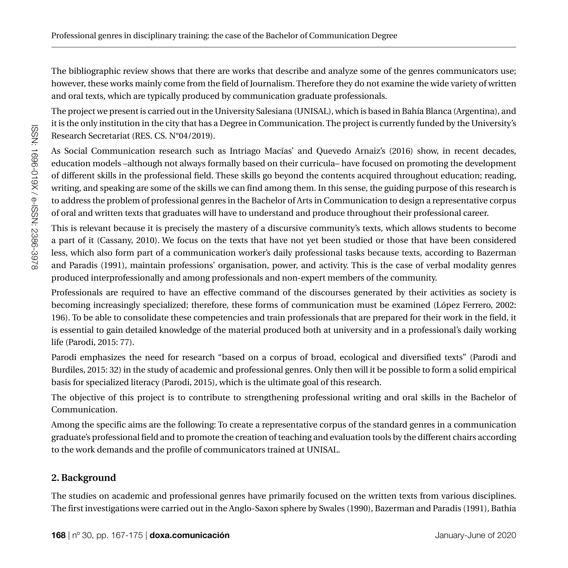The bibliographic review shows that there are works that describe and analyze some of the genres communicators use; however, these works mainly come from the field of Journalism. Therefore they do not examine the wide variety of written and oral texts, which are typically produced by communication graduate professionals.

The project we present is carried out in the University Salesiana (UNISAL), which is based in Bahía Blanca (Argentina), and it is the only institution in the city that has a Degree in Communication. The project is currently funded by the University's Research Secretariat (RES. CS. N°04/2019).

As Social Communication research such as Intriago Macías' and Quevedo Arnaiz's (2016) show, in recent decades, education models –although not always formally based on their curricula– have focused on promoting the development of different skills in the professional field. These skills go beyond the contents acquired throughout education; reading, writing, and speaking are some of the skills we can find among them. In this sense, the guiding purpose of this research is to address the problem of professional genres in the Bachelor of Arts in Communication to design a representative corpus of oral and written texts that graduates will have to understand and produce throughout their professional career.

This is relevant because it is precisely the mastery of a discursive community's texts, which allows students to become a part of it (Cassany, 2010). We focus on the texts that have not yet been studied or those that have been considered less, which also form part of a communication worker's daily professional tasks because texts, according to Bazerman and Paradis (1991), maintain professions' organisation, power, and activity. This is the case of verbal modality genres produced interprofessionally and among professionals and non-expert members of the community.

Professionals are required to have an effective command of the discourses generated by their activities as society is becoming increasingly specialized; therefore, these forms of communication must be examined (López Ferrero, 2002: 196). To be able to consolidate these competencies and train professionals that are prepared for their work in the field, it is essential to gain detailed knowledge of the material produced both at university and in a professional's daily working life (Parodi, 2015: 77).

Parodi emphasizes the need for research "based on a corpus of broad, ecological and diversified texts" (Parodi and Burdiles, 2015: 32) in the study of academic and professional genres. Only then will it be possible to form a solid empirical basis for specialized literacy (Parodi, 2015), which is the ultimate goal of this research.

The objective of this project is to contribute to strengthening professional writing and oral skills in the Bachelor of Communication.

Among the specific aims are the following: To create a representative corpus of the standard genres in a communication graduate's professional field and to promote the creation of teaching and evaluation tools by the different chairs according to the work demands and the profile of communicators trained at UNISAL.

# **2. Background**

The studies on academic and professional genres have primarily focused on the written texts from various disciplines. The first investigations were carried out in the Anglo-Saxon sphere by Swales (1990), Bazerman and Paradis (1991), Bathia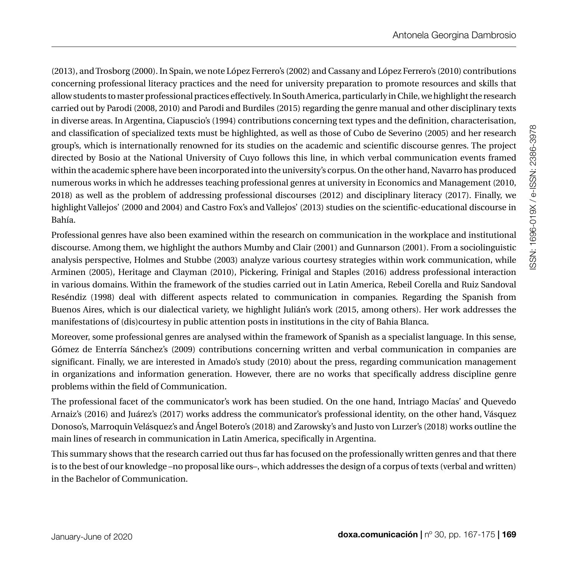(2013), and Trosborg (2000). In Spain, we note López Ferrero's (2002) and Cassany and López Ferrero's (2010) contributions concerning professional literacy practices and the need for university preparation to promote resources and skills that allow students to master professional practices effectively. In South America, particularly in Chile, we highlight the research carried out by Parodi (2008, 2010) and Parodi and Burdiles (2015) regarding the genre manual and other disciplinary texts in diverse areas. In Argentina, Ciapuscio's (1994) contributions concerning text types and the definition, characterisation, and classification of specialized texts must be highlighted, as well as those of Cubo de Severino (2005) and her research group's, which is internationally renowned for its studies on the academic and scientific discourse genres. The project directed by Bosio at the National University of Cuyo follows this line, in which verbal communication events framed within the academic sphere have been incorporated into the university's corpus. On the other hand, Navarro has produced numerous works in which he addresses teaching professional genres at university in Economics and Management (2010, 2018) as well as the problem of addressing professional discourses (2012) and disciplinary literacy (2017). Finally, we highlight Vallejos' (2000 and 2004) and Castro Fox's and Vallejos' (2013) studies on the scientific-educational discourse in Bahía.

Professional genres have also been examined within the research on communication in the workplace and institutional discourse. Among them, we highlight the authors Mumby and Clair (2001) and Gunnarson (2001). From a sociolinguistic analysis perspective, Holmes and Stubbe (2003) analyze various courtesy strategies within work communication, while Arminen (2005), Heritage and Clayman (2010), Pickering, Frinigal and Staples (2016) address professional interaction in various domains. Within the framework of the studies carried out in Latin America, Rebeil Corella and Ruiz Sandoval Reséndiz (1998) deal with different aspects related to communication in companies. Regarding the Spanish from Buenos Aires, which is our dialectical variety, we highlight Julián's work (2015, among others). Her work addresses the manifestations of (dis)courtesy in public attention posts in institutions in the city of Bahia Blanca.

Moreover, some professional genres are analysed within the framework of Spanish as a specialist language. In this sense, Gómez de Enterría Sánchez's (2009) contributions concerning written and verbal communication in companies are significant. Finally, we are interested in Amado's study (2010) about the press, regarding communication management in organizations and information generation. However, there are no works that specifically address discipline genre problems within the field of Communication.

The professional facet of the communicator's work has been studied. On the one hand, Intriago Macías' and Quevedo Arnaiz's (2016) and Juárez's (2017) works address the communicator's professional identity, on the other hand, Vásquez Donoso's, Marroquin Velásquez's and Ángel Botero's (2018) and Zarowsky's and Justo von Lurzer's (2018) works outline the main lines of research in communication in Latin America, specifically in Argentina.

This summary shows that the research carried out thus far has focused on the professionally written genres and that there is to the best of our knowledge –no proposal like ours–, which addresses the design of a corpus of texts (verbal and written) in the Bachelor of Communication.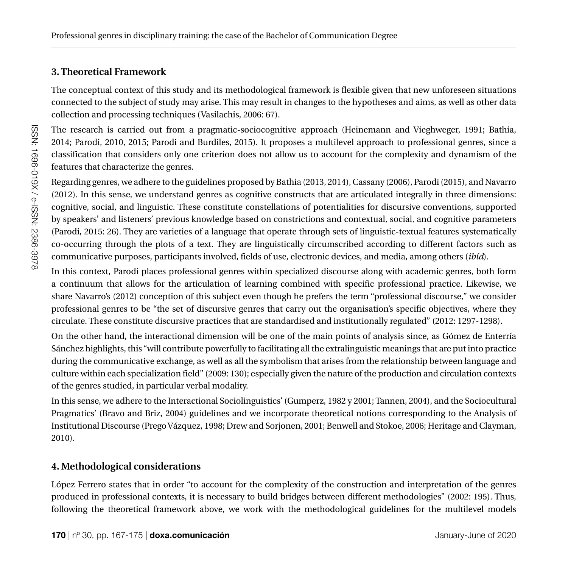# **3. Theoretical Framework**

The conceptual context of this study and its methodological framework is flexible given that new unforeseen situations connected to the subject of study may arise. This may result in changes to the hypotheses and aims, as well as other data collection and processing techniques (Vasilachis, 2006: 67).

The research is carried out from a pragmatic-sociocognitive approach (Heinemann and Vieghweger, 1991; Bathia, 2014; Parodi, 2010, 2015; Parodi and Burdiles, 2015). It proposes a multilevel approach to professional genres, since a classification that considers only one criterion does not allow us to account for the complexity and dynamism of the features that characterize the genres.

Regarding genres, we adhere to the guidelines proposed by Bathia (2013, 2014), Cassany (2006), Parodi (2015), and Navarro (2012). In this sense, we understand genres as cognitive constructs that are articulated integrally in three dimensions: cognitive, social, and linguistic. These constitute constellations of potentialities for discursive conventions, supported by speakers' and listeners' previous knowledge based on constrictions and contextual, social, and cognitive parameters (Parodi, 2015: 26). They are varieties of a language that operate through sets of linguistic-textual features systematically co-occurring through the plots of a text. They are linguistically circumscribed according to different factors such as communicative purposes, participants involved, fields of use, electronic devices, and media, among others (*ibíd*).

In this context, Parodi places professional genres within specialized discourse along with academic genres, both form a continuum that allows for the articulation of learning combined with specific professional practice. Likewise, we share Navarro's (2012) conception of this subject even though he prefers the term "professional discourse," we consider professional genres to be "the set of discursive genres that carry out the organisation's specific objectives, where they circulate. These constitute discursive practices that are standardised and institutionally regulated" (2012: 1297-1298).

On the other hand, the interactional dimension will be one of the main points of analysis since, as Gómez de Enterría Sánchez highlights, this "will contribute powerfully to facilitating all the extralinguistic meanings that are put into practice during the communicative exchange, as well as all the symbolism that arises from the relationship between language and culture within each specialization field" (2009: 130); especially given the nature of the production and circulation contexts of the genres studied, in particular verbal modality.

In this sense, we adhere to the Interactional Sociolinguistics' (Gumperz, 1982 y 2001; Tannen, 2004), and the Sociocultural Pragmatics' (Bravo and Briz, 2004) guidelines and we incorporate theoretical notions corresponding to the Analysis of Institutional Discourse (Prego Vázquez, 1998; Drew and Sorjonen, 2001; Benwell and Stokoe, 2006; Heritage and Clayman, 2010).

## **4. Methodological considerations**

López Ferrero states that in order "to account for the complexity of the construction and interpretation of the genres produced in professional contexts, it is necessary to build bridges between different methodologies" (2002: 195). Thus, following the theoretical framework above, we work with the methodological guidelines for the multilevel models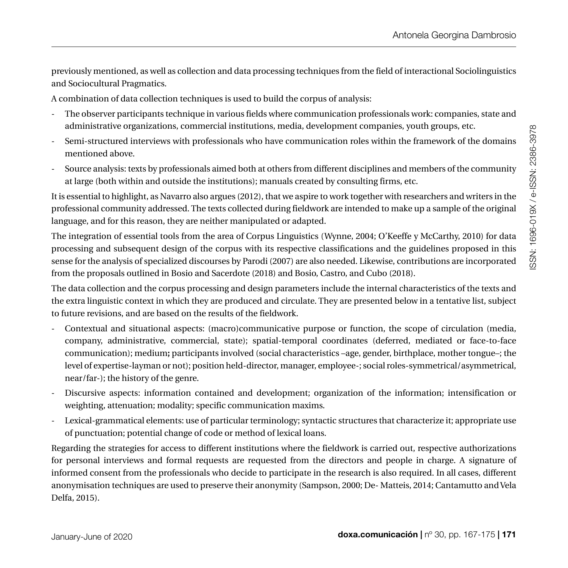previously mentioned, as well as collection and data processing techniques from the field of interactional Sociolinguistics and Sociocultural Pragmatics.

A combination of data collection techniques is used to build the corpus of analysis:

- The observer participants technique in various fields where communication professionals work: companies, state and administrative organizations, commercial institutions, media, development companies, youth groups, etc.
- Semi-structured interviews with professionals who have communication roles within the framework of the domains mentioned above.
- Source analysis: texts by professionals aimed both at others from different disciplines and members of the community at large (both within and outside the institutions); manuals created by consulting firms, etc.

It is essential to highlight, as Navarro also argues (2012), that we aspire to work together with researchers and writers in the professional community addressed. The texts collected during fieldwork are intended to make up a sample of the original language, and for this reason, they are neither manipulated or adapted.

The integration of essential tools from the area of Corpus Linguistics (Wynne, 2004; O'Keeffe y McCarthy, 2010) for data processing and subsequent design of the corpus with its respective classifications and the guidelines proposed in this sense for the analysis of specialized discourses by Parodi (2007) are also needed. Likewise, contributions are incorporated from the proposals outlined in Bosio and Sacerdote (2018) and Bosio, Castro, and Cubo (2018).

The data collection and the corpus processing and design parameters include the internal characteristics of the texts and the extra linguistic context in which they are produced and circulate. They are presented below in a tentative list, subject to future revisions, and are based on the results of the fieldwork.

- Contextual and situational aspects: (macro)communicative purpose or function, the scope of circulation (media, company, administrative, commercial, state); spatial-temporal coordinates (deferred, mediated or face-to-face communication); medium**;** participants involved (social characteristics –age, gender, birthplace, mother tongue–; the level of expertise-layman or not); position held-director, manager, employee-; social roles-symmetrical/asymmetrical, near/far-); the history of the genre.
- Discursive aspects: information contained and development; organization of the information; intensification or weighting, attenuation; modality; specific communication maxims.
- Lexical-grammatical elements: use of particular terminology; syntactic structures that characterize it; appropriate use of punctuation; potential change of code or method of lexical loans.

Regarding the strategies for access to different institutions where the fieldwork is carried out, respective authorizations for personal interviews and formal requests are requested from the directors and people in charge. A signature of informed consent from the professionals who decide to participate in the research is also required. In all cases, different anonymisation techniques are used to preserve their anonymity (Sampson, 2000; De- Matteis, 2014; Cantamutto and Vela Delfa, 2015).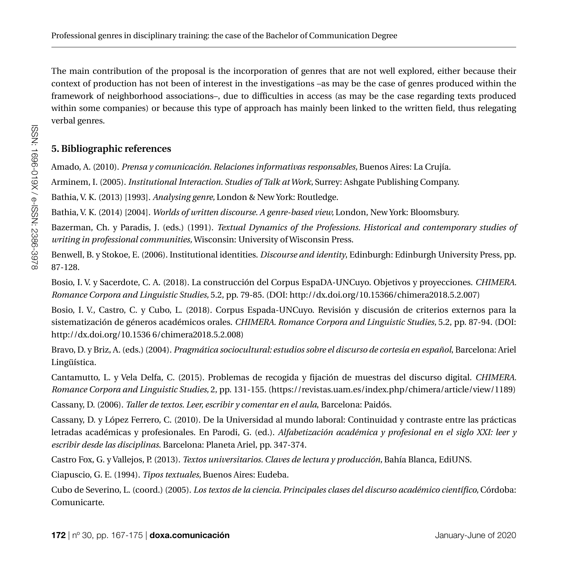The main contribution of the proposal is the incorporation of genres that are not well explored, either because their context of production has not been of interest in the investigations –as may be the case of genres produced within the framework of neighborhood associations–, due to difficulties in access (as may be the case regarding texts produced within some companies) or because this type of approach has mainly been linked to the written field, thus relegating verbal genres.

# **5. Bibliographic references**

Amado, A. (2010). *Prensa y comunicación. Relaciones informativas responsables,* Buenos Aires: La Crujía.

Arminem, I. (2005). *Institutional Interaction. Studies of Talk at Work,* Surrey: Ashgate Publishing Company.

Bathia, V. K. (2013) [1993]. *Analysing genre,* London & New York: Routledge.

Bathia, V. K. (2014) [2004]. *Worlds of written discourse. A genre-based view,* London, New York: Bloomsbury.

Bazerman, Ch. y Paradis, J. (eds.) (1991). *Textual Dynamics of the Professions. Historical and contemporary studies of writing in professional communities,* Wisconsin: University of Wisconsin Press.

Benwell, B. y Stokoe, E. (2006). Institutional identities. *Discourse and identity*, Edinburgh: Edinburgh University Press, pp. 87-128.

Bosio, I. V. y Sacerdote, C. A. (2018). La construcción del Corpus EspaDA-UNCuyo. Objetivos y proyecciones. *CHIMERA. Romance Corpora and Linguistic Studies,* 5.2, pp. 79-85. (DOI: http://dx.doi.org/10.15366/chimera2018.5.2.007)

Bosio, I. V., Castro, C. y Cubo, L. (2018). Corpus Espada-UNCuyo. Revisión y discusión de criterios externos para la sistematización de géneros académicos orales. *CHIMERA. Romance Corpora and Linguistic Studies,* 5.2, pp. 87-94. (DOI: http://dx.doi.org/10.1536 6/chimera2018.5.2.008)

Bravo, D. y Briz, A. (eds.) (2004). *Pragmática sociocultural: estudios sobre el discurso de cortesía en español*, Barcelona: Ariel Lingüística.

Cantamutto, L. y Vela Delfa, C. (2015). Problemas de recogida y fijación de muestras del discurso digital. *CHIMERA. Romance Corpora and Linguistic Studies,* 2, pp. 131-155. (https://revistas.uam.es/index.php/chimera/article/view/1189)

Cassany, D. (2006). *Taller de textos. Leer, escribir y comentar en el aula*, Barcelona: Paidós.

Cassany, D. y López Ferrero, C. (2010). De la Universidad al mundo laboral: Continuidad y contraste entre las prácticas letradas académicas y profesionales. En Parodi, G. (ed.). *Alfabetización académica y profesional en el siglo XXI: leer y escribir desde las disciplinas*. Barcelona: Planeta Ariel, pp. 347-374.

Castro Fox, G. y Vallejos, P. (2013). *Textos universitarios. Claves de lectura y producción,* Bahía Blanca, EdiUNS.

Ciapuscio, G. E. (1994). *Tipos textuales,* Buenos Aires: Eudeba.

Cubo de Severino, L. (coord.) (2005). *Los textos de la ciencia. Principales clases del discurso académico científico,* Córdoba: Comunicarte.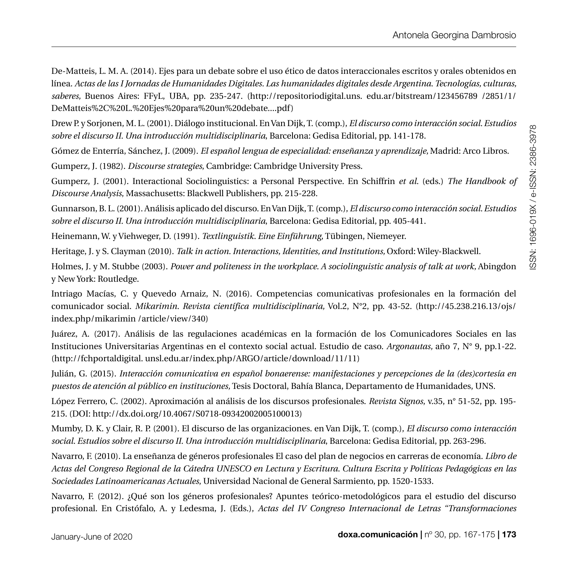De-Matteis, L. M. A. (2014). Ejes para un debate sobre el uso ético de datos interaccionales escritos y orales obtenidos en línea. *Actas de las I Jornadas de Humanidades Digitales. Las humanidades digitales desde Argentina. Tecnologías, culturas, saberes,* Buenos Aires: FFyL, UBA, pp. 235-247. (http://repositoriodigital.uns. edu.ar/bitstream/123456789 /2851/1/ DeMatteis%2C%20L.%20Ejes%20para%20un%20debate....pdf)

Drew P. y Sorjonen, M. L. (2001). Diálogo institucional. En Van Dijk, T. (comp.), *El discurso como interacción social. Estudios sobre el discurso II. Una introducción multidisciplinaria*, Barcelona: Gedisa Editorial, pp. 141-178.

Gómez de Enterría, Sánchez, J. (2009). *El español lengua de especialidad: enseñanza y aprendizaje,* Madrid: Arco Libros.

Gumperz, J. (1982). *Discourse strategies*, Cambridge: Cambridge University Press.

Gumperz, J. (2001). Interactional Sociolinguistics: a Personal Perspective. En Schiffrin *et al.* (eds.) *The Handbook of Discourse Analysis*, Massachusetts: Blackwell Publishers, pp. 215-228.

Gunnarson, B. L. (2001). Análisis aplicado del discurso. En Van Dijk, T. (comp.), *El discurso como interacción social. Estudios sobre el discurso II. Una introducción multidisciplinaria*, Barcelona: Gedisa Editorial, pp. 405-441.

Heinemann, W. y Viehweger, D. (1991). *Textlinguistik. Eine Einführung,* Tübingen, Niemeyer.

Heritage, J. y S. Clayman (2010). *Talk in action. Interactions, Identities, and Institutions,* Oxford: Wiley-Blackwell.

Holmes, J. y M. Stubbe (2003). *Power and politeness in the workplace. A sociolinguistic analysis of talk at work*, Abingdon y New York: Routledge.

Intriago Macías, C. y Quevedo Arnaiz, N. (2016). Competencias comunicativas profesionales en la formación del comunicador social. *Mikarimin. Revista científica multidisciplinaria,* Vol.2, N°2, pp. 43-52. (http://45.238.216.13/ojs/ index.php/mikarimin /article/view/340)

Juárez, A. (2017). Análisis de las regulaciones académicas en la formación de los Comunicadores Sociales en las Instituciones Universitarias Argentinas en el contexto social actual. Estudio de caso. *Argonautas,* año 7, N° 9, pp.1-22. (http://fchportaldigital. unsl.edu.ar/index.php/ARGO/article/download/11/11)

Julián, G. (2015). *Interacción comunicativa en español bonaerense: manifestaciones y percepciones de la (des)cortesía en puestos de atención al público en instituciones,* Tesis Doctoral, Bahía Blanca, Departamento de Humanidades, UNS.

López Ferrero, C. (2002). Aproximación al análisis de los discursos profesionales. *Revista Signos*, v.35, n° 51-52, pp. 195- 215. (DOI: http://dx.doi.org/10.4067/S0718-09342002005100013)

Mumby, D. K. y Clair, R. P. (2001). El discurso de las organizaciones. en Van Dijk, T. (comp.), *El discurso como interacción social. Estudios sobre el discurso II. Una introducción multidisciplinaria*, Barcelona: Gedisa Editorial, pp. 263-296.

Navarro, F. (2010). La enseñanza de géneros profesionales El caso del plan de negocios en carreras de economía. *Libro de Actas del Congreso Regional de la Cátedra UNESCO en Lectura y Escritura. Cultura Escrita y Políticas Pedagógicas en las Sociedades Latinoamericanas Actuales*, Universidad Nacional de General Sarmiento, pp. 1520-1533.

Navarro, F. (2012). ¿Qué son los géneros profesionales? Apuntes teórico-metodológicos para el estudio del discurso profesional. En Cristófalo, A. y Ledesma, J. (Eds.), *Actas del IV Congreso Internacional de Letras "Transformaciones*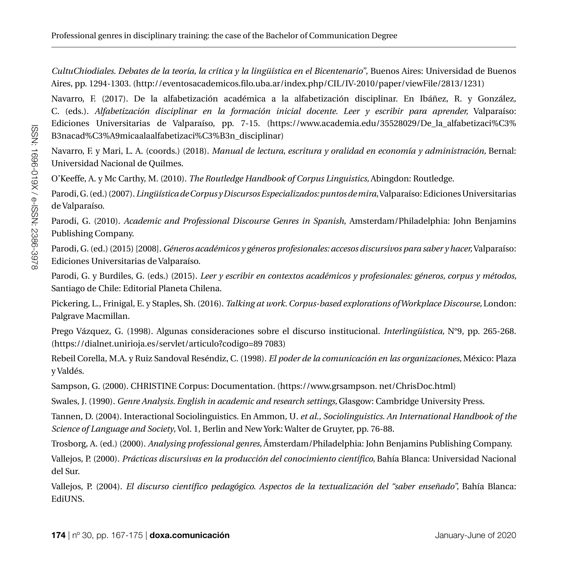*CultuChiodiales. Debates de la teoría, la crítica y la lingüística en el Bicentenario"*, Buenos Aires: Universidad de Buenos Aires, pp. 1294-1303. (http://eventosacademicos.filo.uba.ar/index.php/CIL/IV-2010/paper/viewFile/2813/1231)

Navarro, F. (2017). De la alfabetización académica a la alfabetización disciplinar. En Ibáñez, R. y González, C. (eds.). *Alfabetización disciplinar en la formación inicial docente. Leer y escribir para aprender,* Valparaíso: Ediciones Universitarias de Valparaíso, pp. 7-15. (https://www.academia.edu/35528029/De la alfabetizaci%C3% B3nacad%C3%A9micaalaalfabetizaci%C3%B3n\_disciplinar)

Navarro, F. y Mari, L. A. (coords.) (2018). *Manual de lectura, escritura y oralidad en economía y administración,* Bernal: Universidad Nacional de Quilmes.

O'Keeffe, A. y Mc Carthy, M. (2010). *The Routledge Handbook of Corpus Linguistics,* Abingdon: Routledge.

Parodi, G. (ed.) (2007). *Lingüística de Corpus y Discursos Especializados: puntos de mira,* Valparaíso: Ediciones Universitarias de Valparaíso.

Parodi, G. (2010). *Academic and Professional Discourse Genres in Spanish*, Amsterdam/Philadelphia: John Benjamins Publishing Company.

Parodi, G. (ed.) (2015) [2008]. *Géneros académicos y géneros profesionales: accesos discursivos para saber y hacer,* Valparaíso: Ediciones Universitarias de Valparaíso.

Parodi, G. y Burdiles, G. (eds.) (2015). *Leer y escribir en contextos académicos y profesionales: géneros, corpus y métodos,*  Santiago de Chile: Editorial Planeta Chilena.

Pickering, L., Frinigal, E. y Staples, Sh. (2016). *Talking at work. Corpus-based explorations of Workplace Discourse,* London: Palgrave Macmillan.

Prego Vázquez, G. (1998). Algunas consideraciones sobre el discurso institucional. *Interlingüística,* N°9, pp. 265-268. (https://dialnet.unirioja.es/servlet/articulo?codigo=89 7083)

Rebeil Corella, M.A. y Ruiz Sandoval Reséndiz, C. (1998). *El poder de la comunicación en las organizaciones,* México: Plaza y Valdés.

Sampson, G. (2000). CHRISTINE Corpus: Documentation. (https://www.grsampson. net/ChrisDoc.html)

Swales, J. (1990). *Genre Analysis. English in academic and research settings,* Glasgow: Cambridge University Press.

Tannen, D. (2004). Interactional Sociolinguistics. En Ammon, U. *et al., Sociolinguistics. An International Handbook of the Science of Language and Society*, Vol. 1, Berlin and New York: Walter de Gruyter, pp. 76-88.

Trosborg, A. (ed.) (2000). *Analysing professional genres,* Ámsterdam/Philadelphia: John Benjamins Publishing Company.

Vallejos, P. (2000). *Prácticas discursivas en la producción del conocimiento científico,* Bahía Blanca: Universidad Nacional del Sur.

Vallejos, P. (2004). *El discurso científico pedagógico. Aspectos de la textualización del "saber enseñado",* Bahía Blanca: EdiUNS.